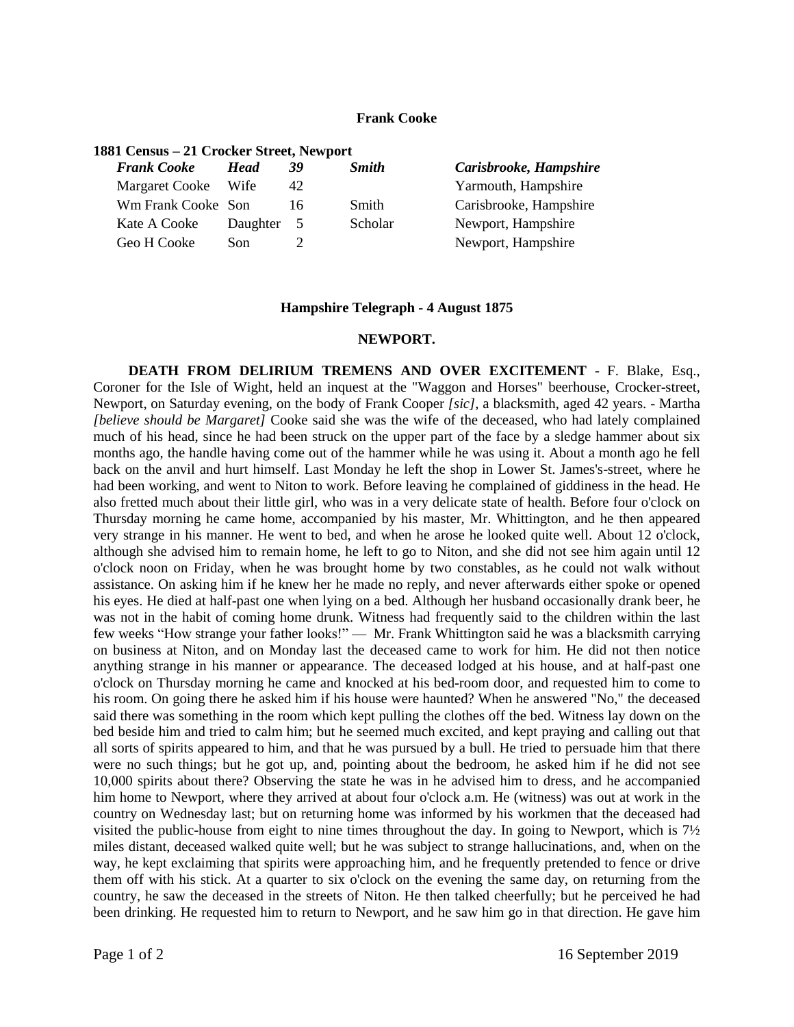## **Frank Cooke**

| 1881 Census – 21 Crocker Street, Newport |                                           |              |                        |
|------------------------------------------|-------------------------------------------|--------------|------------------------|
| <b>Head</b>                              | 39                                        | <b>Smith</b> | Carisbrooke, Hampshire |
|                                          | 42                                        |              | Yarmouth, Hampshire    |
|                                          | 16                                        | Smith        | Carisbrooke, Hampshire |
|                                          | -5                                        | Scholar      | Newport, Hampshire     |
| Son                                      |                                           |              | Newport, Hampshire     |
|                                          | Margaret Cooke Wife<br>Wm Frank Cooke Son | Daughter     |                        |

## **Hampshire Telegraph - 4 August 1875**

## **NEWPORT.**

**DEATH FROM DELIRIUM TREMENS AND OVER EXCITEMENT** - F. Blake, Esq., Coroner for the Isle of Wight, held an inquest at the "Waggon and Horses" beerhouse, Crocker-street, Newport, on Saturday evening, on the body of Frank Cooper *[sic]*, a blacksmith, aged 42 years. - Martha *[believe should be Margaret]* Cooke said she was the wife of the deceased, who had lately complained much of his head, since he had been struck on the upper part of the face by a sledge hammer about six months ago, the handle having come out of the hammer while he was using it. About a month ago he fell back on the anvil and hurt himself. Last Monday he left the shop in Lower St. James's-street, where he had been working, and went to Niton to work. Before leaving he complained of giddiness in the head. He also fretted much about their little girl, who was in a very delicate state of health. Before four o'clock on Thursday morning he came home, accompanied by his master, Mr. Whittington, and he then appeared very strange in his manner. He went to bed, and when he arose he looked quite well. About 12 o'clock, although she advised him to remain home, he left to go to Niton, and she did not see him again until 12 o'clock noon on Friday, when he was brought home by two constables, as he could not walk without assistance. On asking him if he knew her he made no reply, and never afterwards either spoke or opened his eyes. He died at half-past one when lying on a bed. Although her husband occasionally drank beer, he was not in the habit of coming home drunk. Witness had frequently said to the children within the last few weeks "How strange your father looks!" — Mr. Frank Whittington said he was a blacksmith carrying on business at Niton, and on Monday last the deceased came to work for him. He did not then notice anything strange in his manner or appearance. The deceased lodged at his house, and at half-past one o'clock on Thursday morning he came and knocked at his bed-room door, and requested him to come to his room. On going there he asked him if his house were haunted? When he answered "No," the deceased said there was something in the room which kept pulling the clothes off the bed. Witness lay down on the bed beside him and tried to calm him; but he seemed much excited, and kept praying and calling out that all sorts of spirits appeared to him, and that he was pursued by a bull. He tried to persuade him that there were no such things; but he got up, and, pointing about the bedroom, he asked him if he did not see 10,000 spirits about there? Observing the state he was in he advised him to dress, and he accompanied him home to Newport, where they arrived at about four o'clock a.m. He (witness) was out at work in the country on Wednesday last; but on returning home was informed by his workmen that the deceased had visited the public-house from eight to nine times throughout the day. In going to Newport, which is 7½ miles distant, deceased walked quite well; but he was subject to strange hallucinations, and, when on the way, he kept exclaiming that spirits were approaching him, and he frequently pretended to fence or drive them off with his stick. At a quarter to six o'clock on the evening the same day, on returning from the country, he saw the deceased in the streets of Niton. He then talked cheerfully; but he perceived he had been drinking. He requested him to return to Newport, and he saw him go in that direction. He gave him